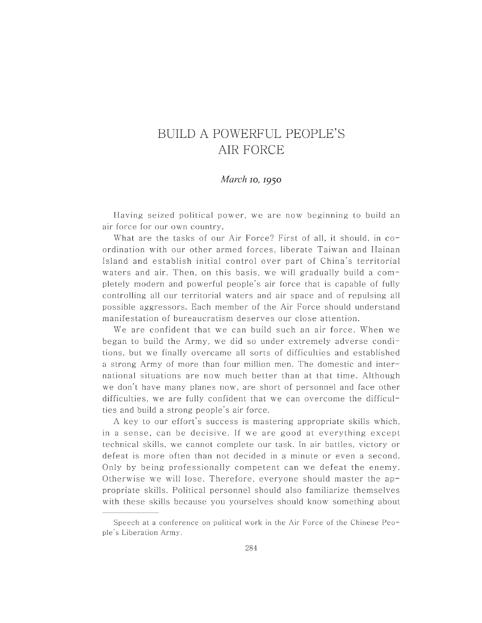## BUILD A POWERFUL PEOPLE'S AIR FORCE

## *March* **10, 1950**

Having seized political power, we are now beginning to build an air force for our own country.

What are the tasks of our Air Force? First of all, it should, in coordination with our other armed forces, liberate Taiwan and Hainan Island and establish initial control over part of China's territorial waters and air. Then, on this basis, we will gradually build a  $com$ pletely modern and powerful people's air force that is capable of fully controlling all our territorial waters and air space and of repulsing all possible aggressors. Each member of the Air Force should understand manifestation of bureaucratism deserves our close attention.

We are confident that we can build such an air force. When we began to build the Army, we did so under extremely adverse conditions, but we finally overcame all sorts of difficulties and established a strong Army of more than four million men. The domestic and international situations are now much better than at that time. Although we don't have many planes now, are short of personnel and face other difficulties, we are fully confident that we can overcome the difficulties and build a strong people's air force.

A key to our effort's success is mastering appropriate skills which, in a sense, can be decisive. If we are good at everything except technical skills, we cannot complete our task. In air battles, victory or defeat is more often than not decided in a minute or even a second. Only by being professionally competent can we defeat the enemy. Otherwise we will lose. Therefore, everyone should master the appropriate skills. Political personnel should a lso familiarize themselves with these skills because you yourselves should know something about

Speech at a conference on political work in the Air Force of the Chinese Peo ple's Liberation Army.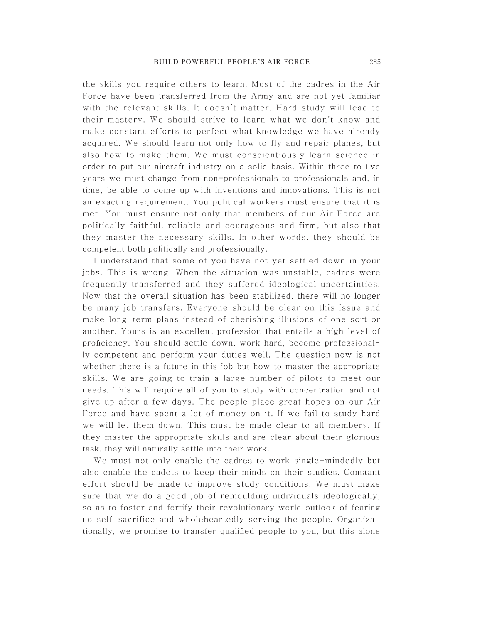the skills you require others to learn. Most of the cadres in the Air Force have been transferred from the Army and are not yet familiar with the relevant skills. It doesn't matter. Hard study will lead to their mastery. We should strive to learn what we don't know and make constant efforts to perfect what knowledge we have already acquired. We should learn not only how to fly and repair planes, but also how to make them. We must conscientiously learn science in order to put our aircraft industry on a solid basis. Within three to five years we must change from non-professionals to professionals and, in time, be able to come up with inventions and innovations. This is not an exacting requirement. You political workers must ensure that it is met. You must ensure not only that members of our Air Force are politically faithful, reliable and courageous and firm, but also that they master the necessary skills. In other words, they should be competent both politically and professionally.

I understand that some of you have not yet settled down in your jobs. This is wrong. When the situation was unstable, cadres were frequently transferred and they suffered ideological uncertainties. Now that the overall situation has been stabilized, there will no longer be many job transfers. Everyone should be clear on this issue and make long-term plans instead of cherishing illusions of one sort or another. Yours is an excellent profession that entails a high level of proficiency. You should settle down, work hard, become professionally competent and perform your duties well. The question now is not whether there is a future in this job but how to master the appropriate skills. We are going to train a large number of pilots to meet our needs. This will require all of you to study with concentration and not give up after a few days. The people place great hopes on our Air Force and have spent a lot of money on it. If we fail to study hard we will let them down. This must be made clear to all members. If they master the appropriate skills and are clear about their glorious task, they will naturally settle into their work.

We must not only enable the cadres to work single-mindedly but also enable the cadets to keep their minds on their studies. Constant effort should be made to improve study conditions. We must make sure that we do a good job of remoulding individuals ideologically, so as to foster and fortify their revolutionary world outlook of fearing no self-sacrifice and wholeheartedly serving the people. Organizationally, we promise to transfer qualified people to you, but this alone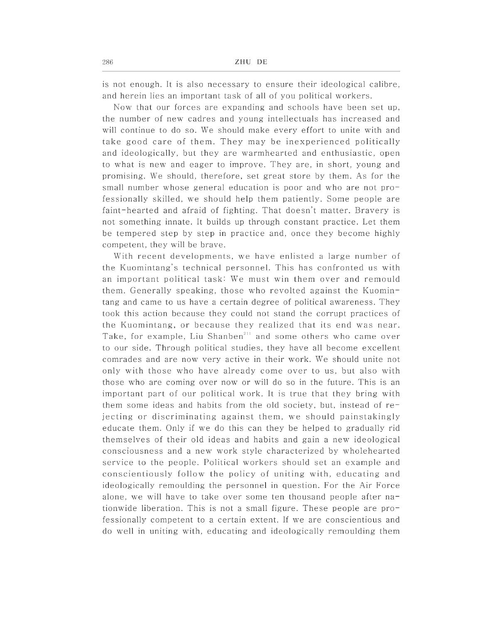is not enough. It is also necessary to ensure their ideological calibre, and herein lies an important task of all of you political workers.

Now that our forces are expanding and schools have been set up, the number of new cadres and young intellectuals has increased and will continue to do so. We should make every effort to unite with and take good care of them. They may be inexperienced politically and ideologically, but they are warmhearted and enthusiastic, open to what is new and eager to improve. They are, in short, young and promising. We should, therefore, set great store by them. As for the small number whose general education is poor and who are not  $pro$ fessionally skilled, we should help them patiently. Some people are faint-hearted and afraid of fighting. That doesn't matter. Bravery is not something innate. It builds up through constant practice. Let them be tempered step by step in practice and, once they become highly competent, they will be brave.

With recent developments, we have enlisted a large number of the Kuomintang's technical personnel. This has confronted us with an important political task: We must win them over and remould them. Generally speaking, those who revolted against the Kuomintang and came to us have a certain degree of political awareness. They took this action because they could not stand the corrupt practices of the Kuomintang, or because they realized that its end was near. Take, for example, Liu Shanben<sup>211</sup> and some others who came over to our side. Through political studies, they have all become excellent comrades and are now very active in their work. We should unite not only with those who have already come over to us, but also with those who are coming over now or will do so in the future. This is an important part of our political work. It is true that they bring with them some ideas and habits from the old society, but, instead of  $re$ jecting or discriminating against them, we should painstakingly educate them. Only if we do this can they be helped to gradually rid themselves of their old ideas and habits and gain a new ideological consciousness and a new work style characterized by whole hearted service to the people. Political workers should set an example and conscientiously follow the policy of uniting with, educating and ideologically remoulding the personnel in question. For the Air Force alone, we will have to take over some ten thous and people after  $na$ tionwide liberation. This is not a small figure. These people are professionally competent to a certain extent. If we are conscientious and do well in uniting with, educating and ideologically remoulding them